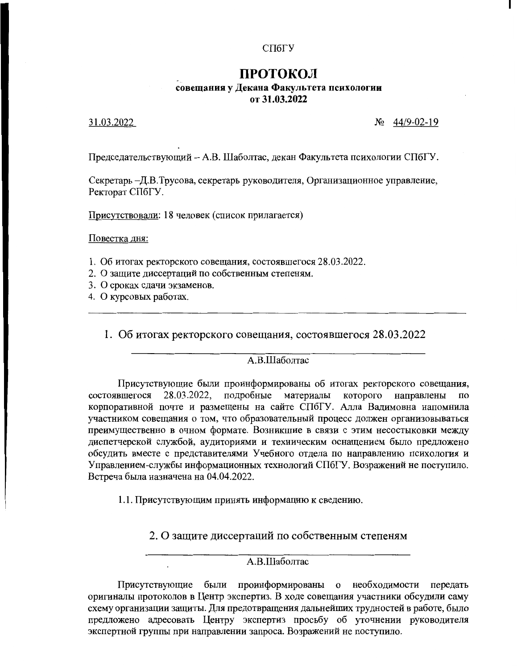### СПбГУ

# ПРОТОКОЛ совещания у Декана Факультета психологии

от 31.03.2022

### 31.03.2022

 $N_2$  44/9-02-19

Председательствующий - А.В. Шаболтас, декан Факультета психологии СПбГУ.

Секретарь -Д.В.Трусова, секретарь руководителя, Организационное управление, Ректорат СПбГУ.

Присутствовали: 18 человек (список прилагается)

Повестка дня:

- 1. Об итогах ректорского совещания, состоявшегося 28.03.2022.
- 2. О защите диссертаций по собственным степеням.
- 3. О сроках сдачи экзаменов.
- 4. О курсовых работах.

1. Об итогах ректорского совещания, состоявшегося 28.03.2022

### А.В.Шаболтас

Присутствующие были проинформированы об итогах ректорского совещания, 28.03.2022, подробные материалы которого направлены состоявшегося по корпоративной почте и размещены на сайте СПбГУ. Алла Вадимовна напомнила участником совещания о том, что образовательный процесс должен организовываться преимущественно в очном формате. Возникшие в связи с этим несостыковки между диспетчерской службой, аудиториями и техническим оснащением было предложено обсудить вместе с представителями Учебного отдела по направлению психология и Управлением-службы информационных технологий СПбГУ. Возражений не поступило. Встреча была назначена на 04.04.2022.

1.1. Присутствующим принять информацию к сведению.

2. О защите диссертаций по собственным степеням

## А.В.Шаболтас

Присутствующие были проинформированы о необходимости передать оригиналы протоколов в Центр экспертиз. В ходе совещания участники обсудили саму схему организации защиты. Для предотвращения дальнейших трудностей в работе, было предложено адресовать Центру экспертиз просьбу об уточнении руководителя экспертной группы при направлении запроса. Возражений не поступило.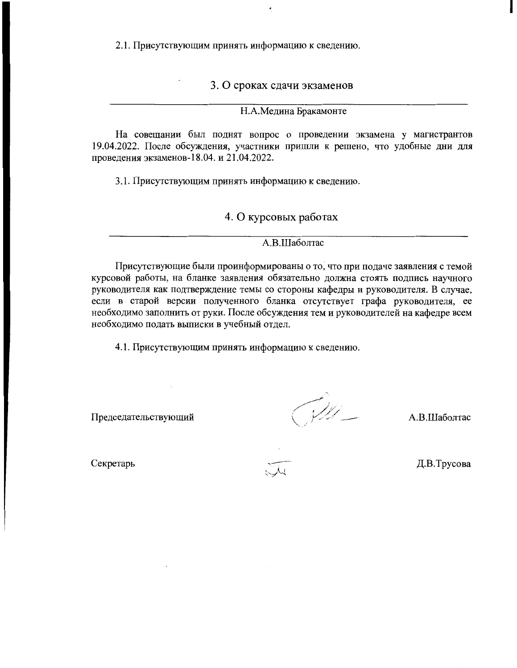2.1. Присутствующим принять информацию к сведению.

3. О сроках сдачи экзаменов

Н.А.Медина Бракамонте

На совещании был поднят вопрос о проведении экзамена у магистрантов 19.04.2022. После обсуждения, участники пришли к решено, что удобные дни для проведения экзаменов-18.04. и 21.04.2022.

3.1. Присутствующим принять информацию к сведению.

4. О курсовых работах

А.В.Шаболтас

Присутствующие были проинформированы о то, что при подаче заявления с темой курсовой работы, на бланке заявления обязательно должна стоять подпись научного руководителя как подтверждение темы со стороны кафедры и руководителя. В случае, если в старой версии полученного бланка отсутствует графа руководителя, ее необходимо заполнить от руки. После обсуждения тем и руководителей на кафедре всем необходимо подать выписки в учебный отдел.

4.1. Присутствующим принять информацию к сведению.

Председательствующий

 $\mathcal{Y}$ 

А.В.Шаболтас

Секретарь

Д.В.Трусова